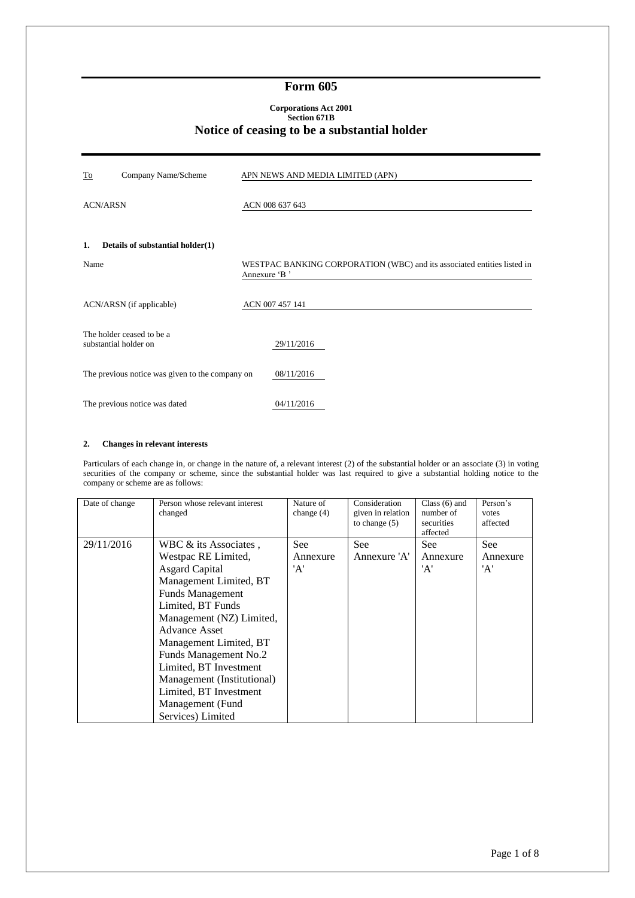## **Form 605**

#### **Corporations Act 2001 Section 671B Notice of ceasing to be a substantial holder**

| To<br>Company Name/Scheme                          | APN NEWS AND MEDIA LIMITED (APN)                                                        |
|----------------------------------------------------|-----------------------------------------------------------------------------------------|
| <b>ACN/ARSN</b>                                    | ACN 008 637 643                                                                         |
| Details of substantial holder(1)<br>1.             |                                                                                         |
| Name                                               | WESTPAC BANKING CORPORATION (WBC) and its associated entities listed in<br>Annexure 'B' |
| ACN/ARSN (if applicable)                           | ACN 007 457 141                                                                         |
| The holder ceased to be a<br>substantial holder on | 29/11/2016                                                                              |
| The previous notice was given to the company on    | 08/11/2016                                                                              |
| The previous notice was dated                      | 04/11/2016                                                                              |

## **2. Changes in relevant interests**

Particulars of each change in, or change in the nature of, a relevant interest (2) of the substantial holder or an associate (3) in voting securities of the company or scheme, since the substantial holder was last required to give a substantial holding notice to the company or scheme are as follows:

| Date of change | Person whose relevant interest<br>changed | Nature of<br>change $(4)$ | Consideration<br>given in relation<br>to change $(5)$ | Class $(6)$ and<br>number of<br>securities<br>affected | Person's<br>votes<br>affected |
|----------------|-------------------------------------------|---------------------------|-------------------------------------------------------|--------------------------------------------------------|-------------------------------|
| 29/11/2016     | WBC $\&$ its Associates.                  | <b>See</b>                | <b>See</b>                                            | See:                                                   | <b>See</b>                    |
|                | Westpac RE Limited,                       | Annexure                  | Annexure 'A'                                          | Annexure                                               | Annexure                      |
|                | <b>Asgard Capital</b>                     | 'A'                       |                                                       | 'A'                                                    | 'A'                           |
|                | Management Limited, BT                    |                           |                                                       |                                                        |                               |
|                | <b>Funds Management</b>                   |                           |                                                       |                                                        |                               |
|                | Limited, BT Funds                         |                           |                                                       |                                                        |                               |
|                | Management (NZ) Limited,                  |                           |                                                       |                                                        |                               |
|                | <b>Advance Asset</b>                      |                           |                                                       |                                                        |                               |
|                | Management Limited, BT                    |                           |                                                       |                                                        |                               |
|                | Funds Management No.2                     |                           |                                                       |                                                        |                               |
|                | Limited, BT Investment                    |                           |                                                       |                                                        |                               |
|                | Management (Institutional)                |                           |                                                       |                                                        |                               |
|                | Limited, BT Investment                    |                           |                                                       |                                                        |                               |
|                | Management (Fund                          |                           |                                                       |                                                        |                               |
|                | Services) Limited                         |                           |                                                       |                                                        |                               |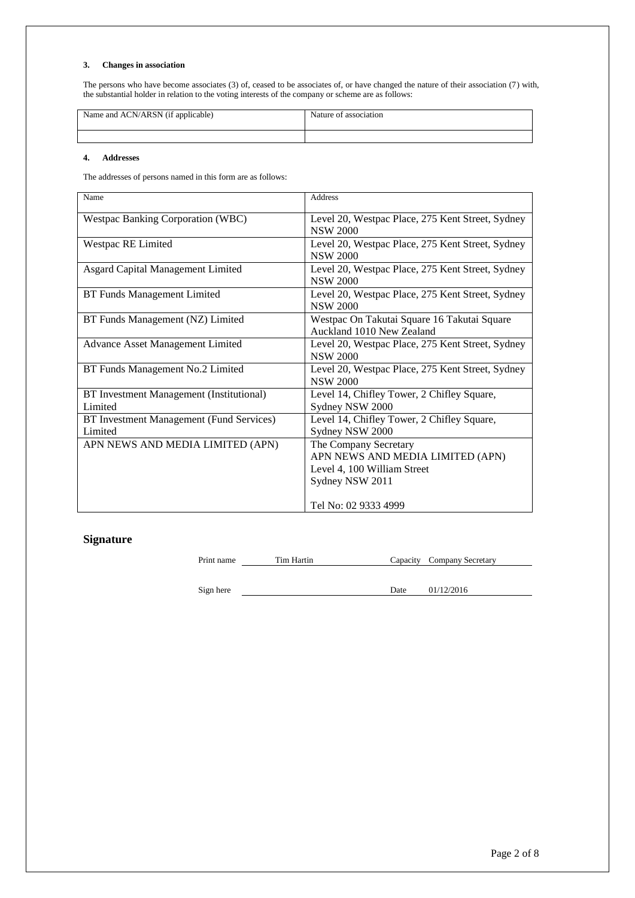#### **3. Changes in association**

The persons who have become associates (3) of, ceased to be associates of, or have changed the nature of their association (7) with, the substantial holder in relation to the voting interests of the company or scheme are as follows:

| Name and ACN/ARSN (if applicable) | Nature of association |
|-----------------------------------|-----------------------|
|                                   |                       |

#### **4. Addresses**

The addresses of persons named in this form are as follows:

| Name                                                | <b>Address</b>                                                                                              |
|-----------------------------------------------------|-------------------------------------------------------------------------------------------------------------|
| <b>Westpac Banking Corporation (WBC)</b>            | Level 20, Westpac Place, 275 Kent Street, Sydney<br><b>NSW 2000</b>                                         |
| Westpac RE Limited                                  | Level 20, Westpac Place, 275 Kent Street, Sydney<br><b>NSW 2000</b>                                         |
| <b>Asgard Capital Management Limited</b>            | Level 20, Westpac Place, 275 Kent Street, Sydney<br><b>NSW 2000</b>                                         |
| <b>BT Funds Management Limited</b>                  | Level 20, Westpac Place, 275 Kent Street, Sydney<br><b>NSW 2000</b>                                         |
| BT Funds Management (NZ) Limited                    | Westpac On Takutai Square 16 Takutai Square<br>Auckland 1010 New Zealand                                    |
| <b>Advance Asset Management Limited</b>             | Level 20, Westpac Place, 275 Kent Street, Sydney<br><b>NSW 2000</b>                                         |
| BT Funds Management No.2 Limited                    | Level 20, Westpac Place, 275 Kent Street, Sydney<br><b>NSW 2000</b>                                         |
| BT Investment Management (Institutional)<br>Limited | Level 14, Chifley Tower, 2 Chifley Square,<br>Sydney NSW 2000                                               |
| BT Investment Management (Fund Services)<br>Limited | Level 14, Chifley Tower, 2 Chifley Square,<br>Sydney NSW 2000                                               |
| APN NEWS AND MEDIA LIMITED (APN)                    | The Company Secretary<br>APN NEWS AND MEDIA LIMITED (APN)<br>Level 4, 100 William Street<br>Sydney NSW 2011 |
|                                                     | Tel No: 02 9333 4999                                                                                        |

# **Signature**

Print name Tim Hartin Capacity Company Secretary

Sign here Date 01/12/2016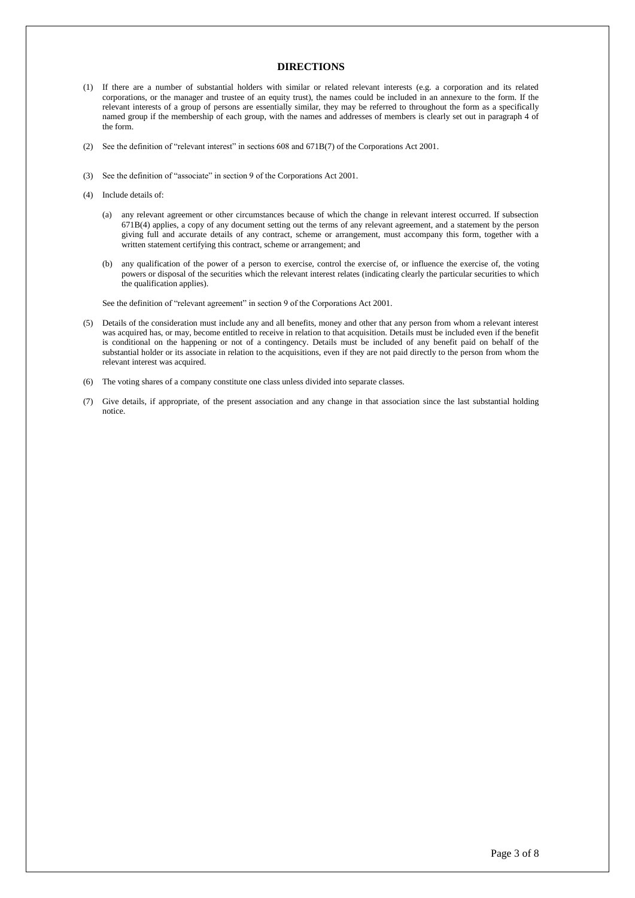### **DIRECTIONS**

- (1) If there are a number of substantial holders with similar or related relevant interests (e.g. a corporation and its related corporations, or the manager and trustee of an equity trust), the names could be included in an annexure to the form. If the relevant interests of a group of persons are essentially similar, they may be referred to throughout the form as a specifically named group if the membership of each group, with the names and addresses of members is clearly set out in paragraph 4 of the form.
- (2) See the definition of "relevant interest" in sections 608 and 671B(7) of the Corporations Act 2001.
- (3) See the definition of "associate" in section 9 of the Corporations Act 2001.
- (4) Include details of:
	- (a) any relevant agreement or other circumstances because of which the change in relevant interest occurred. If subsection 671B(4) applies, a copy of any document setting out the terms of any relevant agreement, and a statement by the person giving full and accurate details of any contract, scheme or arrangement, must accompany this form, together with a written statement certifying this contract, scheme or arrangement; and
	- (b) any qualification of the power of a person to exercise, control the exercise of, or influence the exercise of, the voting powers or disposal of the securities which the relevant interest relates (indicating clearly the particular securities to which the qualification applies).

See the definition of "relevant agreement" in section 9 of the Corporations Act 2001.

- (5) Details of the consideration must include any and all benefits, money and other that any person from whom a relevant interest was acquired has, or may, become entitled to receive in relation to that acquisition. Details must be included even if the benefit is conditional on the happening or not of a contingency. Details must be included of any benefit paid on behalf of the substantial holder or its associate in relation to the acquisitions, even if they are not paid directly to the person from whom the relevant interest was acquired.
- (6) The voting shares of a company constitute one class unless divided into separate classes.
- (7) Give details, if appropriate, of the present association and any change in that association since the last substantial holding notice.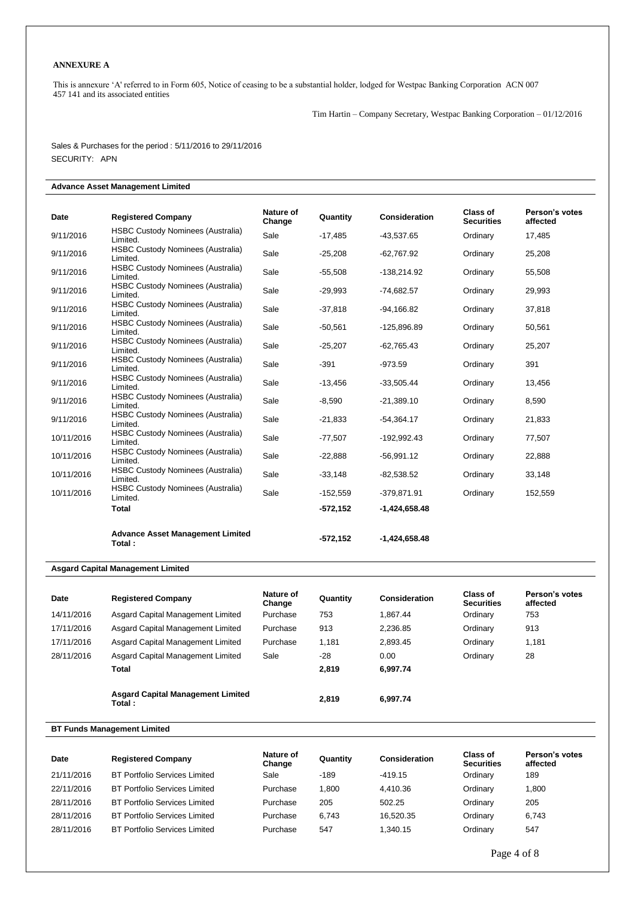### **ANNEXURE A**

This is annexure 'A' referred to in Form 605, Notice of ceasing to be a substantial holder, lodged for Westpac Banking Corporation ACN 007 457 141 and its associated entities

Tim Hartin – Company Secretary, Westpac Banking Corporation – 01/12/2016

Sales & Purchases for the period : 5/11/2016 to 29/11/2016 SECURITY: APN

## **Advance Asset Management Limited**

|            |                                                      | Nature of |            |                      | Class of          | Person's votes |
|------------|------------------------------------------------------|-----------|------------|----------------------|-------------------|----------------|
| Date       | <b>Registered Company</b>                            | Change    | Quantity   | <b>Consideration</b> | <b>Securities</b> | affected       |
| 9/11/2016  | <b>HSBC Custody Nominees (Australia)</b><br>Limited. | Sale      | $-17,485$  | $-43,537.65$         | Ordinary          | 17,485         |
| 9/11/2016  | <b>HSBC Custody Nominees (Australia)</b><br>Limited. | Sale      | $-25,208$  | $-62,767.92$         | Ordinary          | 25,208         |
| 9/11/2016  | <b>HSBC Custody Nominees (Australia)</b><br>Limited. | Sale      | $-55,508$  | -138,214.92          | Ordinary          | 55,508         |
| 9/11/2016  | <b>HSBC Custody Nominees (Australia)</b><br>Limited. | Sale      | $-29,993$  | $-74,682.57$         | Ordinary          | 29,993         |
| 9/11/2016  | <b>HSBC Custody Nominees (Australia)</b><br>Limited. | Sale      | $-37,818$  | $-94,166.82$         | Ordinary          | 37,818         |
| 9/11/2016  | <b>HSBC Custody Nominees (Australia)</b><br>Limited. | Sale      | $-50,561$  | $-125,896.89$        | Ordinary          | 50,561         |
| 9/11/2016  | <b>HSBC Custody Nominees (Australia)</b><br>Limited. | Sale      | $-25,207$  | $-62,765.43$         | Ordinary          | 25,207         |
| 9/11/2016  | <b>HSBC Custody Nominees (Australia)</b><br>Limited. | Sale      | $-391$     | $-973.59$            | Ordinary          | 391            |
| 9/11/2016  | <b>HSBC Custody Nominees (Australia)</b><br>Limited. | Sale      | $-13.456$  | $-33.505.44$         | Ordinary          | 13,456         |
| 9/11/2016  | <b>HSBC Custody Nominees (Australia)</b><br>Limited. | Sale      | $-8,590$   | $-21,389.10$         | Ordinary          | 8,590          |
| 9/11/2016  | <b>HSBC Custody Nominees (Australia)</b><br>Limited. | Sale      | $-21,833$  | $-54,364.17$         | Ordinary          | 21,833         |
| 10/11/2016 | <b>HSBC Custody Nominees (Australia)</b><br>Limited. | Sale      | $-77,507$  | $-192,992.43$        | Ordinary          | 77,507         |
| 10/11/2016 | <b>HSBC Custody Nominees (Australia)</b><br>Limited. | Sale      | $-22,888$  | $-56,991.12$         | Ordinary          | 22,888         |
| 10/11/2016 | <b>HSBC Custody Nominees (Australia)</b><br>Limited. | Sale      | $-33,148$  | $-82,538.52$         | Ordinary          | 33,148         |
| 10/11/2016 | <b>HSBC Custody Nominees (Australia)</b><br>Limited. | Sale      | $-152,559$ | $-379,871.91$        | Ordinary          | 152,559        |
|            | <b>Total</b>                                         |           | $-572,152$ | $-1,424,658.48$      |                   |                |
|            | <b>Advance Asset Management Limited</b><br>Total:    |           | $-572.152$ | $-1.424.658.48$      |                   |                |

#### **Asgard Capital Management Limited**

| Date       | <b>Registered Company</b>                          | Nature of<br>Change | Quantity | Consideration | Class of<br><b>Securities</b> | Person's votes<br>affected |
|------------|----------------------------------------------------|---------------------|----------|---------------|-------------------------------|----------------------------|
| 14/11/2016 | Asgard Capital Management Limited                  | Purchase            | 753      | 1.867.44      | Ordinary                      | 753                        |
| 17/11/2016 | Asgard Capital Management Limited                  | Purchase            | 913      | 2.236.85      | Ordinary                      | 913                        |
| 17/11/2016 | Asgard Capital Management Limited                  | Purchase            | 1,181    | 2.893.45      | Ordinary                      | 1,181                      |
| 28/11/2016 | Asgard Capital Management Limited                  | Sale                | -28      | 0.00          | Ordinary                      | 28                         |
|            | Total                                              |                     | 2.819    | 6.997.74      |                               |                            |
|            | <b>Asgard Capital Management Limited</b><br>Total: |                     | 2.819    | 6.997.74      |                               |                            |

**BT Funds Management Limited**

| Date       | <b>Registered Company</b>            | Nature of<br>Change | Quantity | Consideration | <b>Class of</b><br><b>Securities</b> | Person's votes<br>affected |
|------------|--------------------------------------|---------------------|----------|---------------|--------------------------------------|----------------------------|
| 21/11/2016 | <b>BT Portfolio Services Limited</b> | Sale                | $-189$   | $-419.15$     | Ordinarv                             | 189                        |
| 22/11/2016 | <b>BT Portfolio Services Limited</b> | Purchase            | 1.800    | 4.410.36      | Ordinary                             | 1.800                      |
| 28/11/2016 | <b>BT Portfolio Services Limited</b> | Purchase            | 205      | 502.25        | Ordinarv                             | 205                        |
| 28/11/2016 | <b>BT Portfolio Services Limited</b> | Purchase            | 6.743    | 16.520.35     | Ordinary                             | 6,743                      |
| 28/11/2016 | <b>BT Portfolio Services Limited</b> | Purchase            | 547      | .340.15       | Ordinarv                             | 547                        |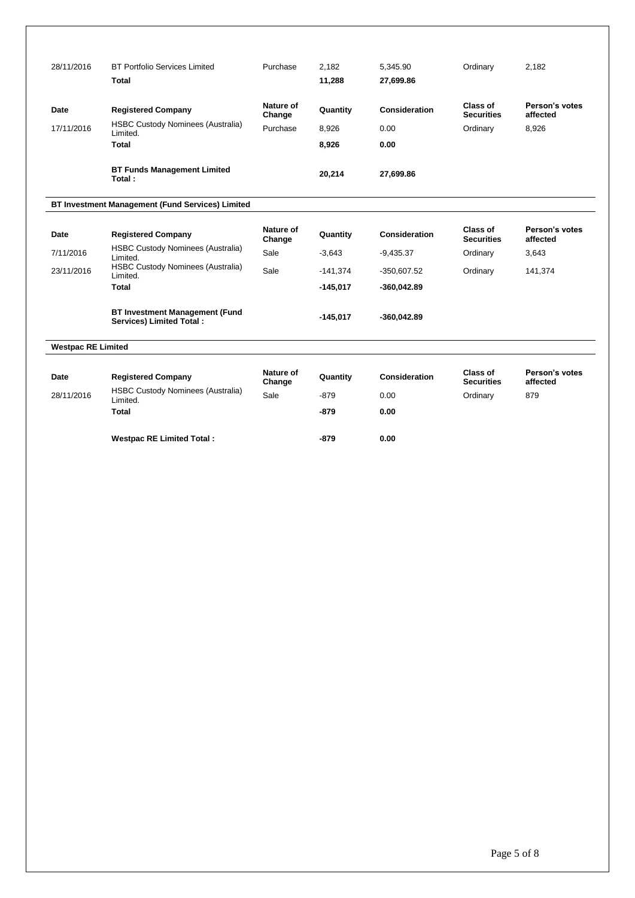| 28/11/2016                | <b>BT Portfolio Services Limited</b><br>Total                            | Purchase                        | 2.182<br>11,288   | 5.345.90<br>27,699.86 | Ordinary                                  | 2.182                               |
|---------------------------|--------------------------------------------------------------------------|---------------------------------|-------------------|-----------------------|-------------------------------------------|-------------------------------------|
| Date<br>17/11/2016        | <b>Registered Company</b><br><b>HSBC Custody Nominees (Australia)</b>    | Nature of<br>Change<br>Purchase | Quantity<br>8,926 | Consideration<br>0.00 | Class of<br><b>Securities</b><br>Ordinary | Person's votes<br>affected<br>8.926 |
|                           | Limited.<br>Total                                                        |                                 | 8,926             | 0.00                  |                                           |                                     |
|                           | <b>BT Funds Management Limited</b><br>Total:                             |                                 | 20,214            | 27,699.86             |                                           |                                     |
|                           | BT Investment Management (Fund Services) Limited                         |                                 |                   |                       |                                           |                                     |
| Date                      | <b>Registered Company</b>                                                | Nature of<br>Change             | Quantity          | <b>Consideration</b>  | Class of<br><b>Securities</b>             | Person's votes<br>affected          |
| 7/11/2016                 | <b>HSBC Custody Nominees (Australia)</b><br>Limited.                     | Sale                            | $-3,643$          | $-9,435.37$           | Ordinary                                  | 3,643                               |
| 23/11/2016                | <b>HSBC Custody Nominees (Australia)</b><br>Limited.                     | Sale                            | $-141,374$        | $-350,607.52$         | Ordinary                                  | 141,374                             |
|                           | <b>Total</b>                                                             |                                 | $-145,017$        | $-360,042.89$         |                                           |                                     |
|                           | <b>BT Investment Management (Fund</b><br><b>Services) Limited Total:</b> |                                 | $-145.017$        | $-360,042.89$         |                                           |                                     |
| <b>Westpac RE Limited</b> |                                                                          |                                 |                   |                       |                                           |                                     |
| Date                      | <b>Registered Company</b>                                                | Nature of<br>Change             | Quantity          | <b>Consideration</b>  | Class of<br><b>Securities</b>             | Person's votes<br>affected          |
| 28/11/2016                | <b>HSBC Custody Nominees (Australia)</b><br>Limited.                     | Sale                            | $-879$            | 0.00                  | Ordinary                                  | 879                                 |
|                           | Total                                                                    |                                 | -879              | 0.00                  |                                           |                                     |
|                           | <b>Westpac RE Limited Total:</b>                                         |                                 | $-879$            | 0.00                  |                                           |                                     |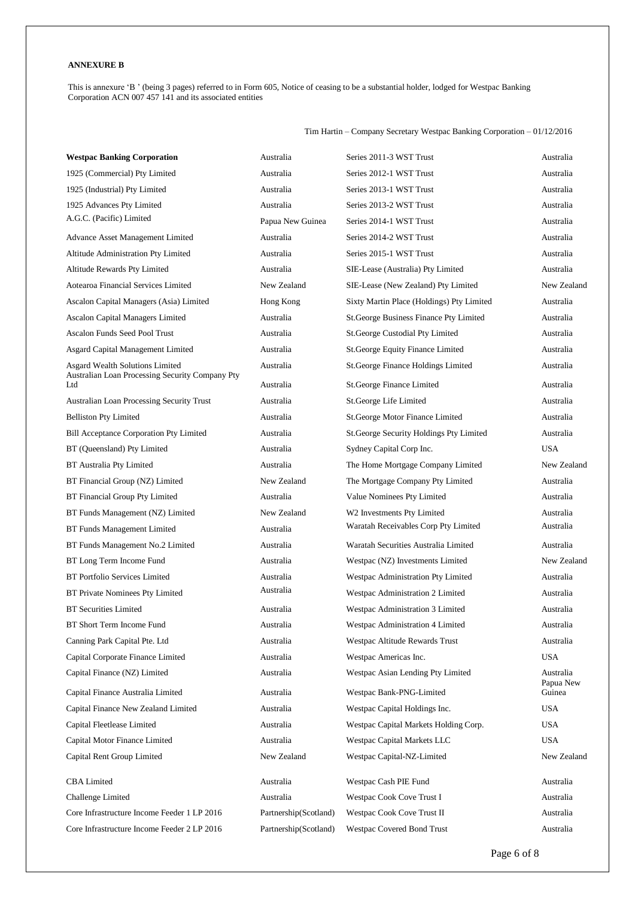## **ANNEXURE B**

This is annexure 'B' (being 3 pages) referred to in Form 605, Notice of ceasing to be a substantial holder, lodged for Westpac Banking Corporation ACN 007 457 141 and its associated entities

Tim Hartin – Company Secretary Westpac Banking Corporation – 01/12/2016

| <b>Westpac Banking Corporation</b>                                                 | Australia             | Series 2011-3 WST Trust                   | Australia              |
|------------------------------------------------------------------------------------|-----------------------|-------------------------------------------|------------------------|
| 1925 (Commercial) Pty Limited                                                      | Australia             | Series 2012-1 WST Trust                   | Australia              |
| 1925 (Industrial) Pty Limited                                                      | Australia             | Series 2013-1 WST Trust                   | Australia              |
| 1925 Advances Pty Limited                                                          | Australia             | Series 2013-2 WST Trust                   | Australia              |
| A.G.C. (Pacific) Limited                                                           | Papua New Guinea      | Series 2014-1 WST Trust                   | Australia              |
| Advance Asset Management Limited                                                   | Australia             | Series 2014-2 WST Trust                   | Australia              |
| Altitude Administration Pty Limited                                                | Australia             | Series 2015-1 WST Trust                   | Australia              |
| Altitude Rewards Pty Limited                                                       | Australia             | SIE-Lease (Australia) Pty Limited         | Australia              |
| Aotearoa Financial Services Limited                                                | New Zealand           | SIE-Lease (New Zealand) Pty Limited       | New Zealand            |
| Ascalon Capital Managers (Asia) Limited                                            | Hong Kong             | Sixty Martin Place (Holdings) Pty Limited | Australia              |
| Ascalon Capital Managers Limited                                                   | Australia             | St. George Business Finance Pty Limited   | Australia              |
| Ascalon Funds Seed Pool Trust                                                      | Australia             | St.George Custodial Pty Limited           | Australia              |
| Asgard Capital Management Limited                                                  | Australia             | St.George Equity Finance Limited          | Australia              |
| Asgard Wealth Solutions Limited<br>Australian Loan Processing Security Company Pty | Australia             | St. George Finance Holdings Limited       | Australia              |
| Ltd                                                                                | Australia             | St.George Finance Limited                 | Australia              |
| <b>Australian Loan Processing Security Trust</b>                                   | Australia             | St.George Life Limited                    | Australia              |
| <b>Belliston Pty Limited</b>                                                       | Australia             | St.George Motor Finance Limited           | Australia              |
| <b>Bill Acceptance Corporation Pty Limited</b>                                     | Australia             | St. George Security Holdings Pty Limited  | Australia              |
| BT (Queensland) Pty Limited                                                        | Australia             | Sydney Capital Corp Inc.                  | <b>USA</b>             |
| BT Australia Pty Limited                                                           | Australia             | The Home Mortgage Company Limited         | New Zealand            |
| BT Financial Group (NZ) Limited                                                    | New Zealand           | The Mortgage Company Pty Limited          | Australia              |
| BT Financial Group Pty Limited                                                     | Australia             | Value Nominees Pty Limited                | Australia              |
| BT Funds Management (NZ) Limited                                                   | New Zealand           | W2 Investments Pty Limited                | Australia              |
| BT Funds Management Limited                                                        | Australia             | Waratah Receivables Corp Pty Limited      | Australia              |
| BT Funds Management No.2 Limited                                                   | Australia             | Waratah Securities Australia Limited      | Australia              |
| BT Long Term Income Fund                                                           | Australia             | Westpac (NZ) Investments Limited          | New Zealand            |
| <b>BT Portfolio Services Limited</b>                                               | Australia             | Westpac Administration Pty Limited        | Australia              |
| BT Private Nominees Pty Limited                                                    | Australia             | Westpac Administration 2 Limited          | Australia              |
| <b>BT Securities Limited</b>                                                       | Australia             | Westpac Administration 3 Limited          | Australia              |
| BT Short Term Income Fund                                                          | Australia             | Westpac Administration 4 Limited          | Australia              |
| Canning Park Capital Pte. Ltd                                                      | Australia             | Westpac Altitude Rewards Trust            | Australia              |
| Capital Corporate Finance Limited                                                  | Australia             | Westpac Americas Inc.                     | <b>USA</b>             |
| Capital Finance (NZ) Limited                                                       | Australia             | Westpac Asian Lending Pty Limited         | Australia<br>Papua New |
| Capital Finance Australia Limited                                                  | Australia             | Westpac Bank-PNG-Limited                  | Guinea                 |
| Capital Finance New Zealand Limited                                                | Australia             | Westpac Capital Holdings Inc.             | <b>USA</b>             |
| Capital Fleetlease Limited                                                         | Australia             | Westpac Capital Markets Holding Corp.     | <b>USA</b>             |
| Capital Motor Finance Limited                                                      | Australia             | Westpac Capital Markets LLC               | <b>USA</b>             |
| Capital Rent Group Limited                                                         | New Zealand           | Westpac Capital-NZ-Limited                | New Zealand            |
| <b>CBA</b> Limited                                                                 | Australia             | Westpac Cash PIE Fund                     | Australia              |
| Challenge Limited                                                                  | Australia             | Westpac Cook Cove Trust I                 | Australia              |
| Core Infrastructure Income Feeder 1 LP 2016                                        | Partnership(Scotland) | Westpac Cook Cove Trust II                | Australia              |
| Core Infrastructure Income Feeder 2 LP 2016                                        | Partnership(Scotland) | Westpac Covered Bond Trust                | Australia              |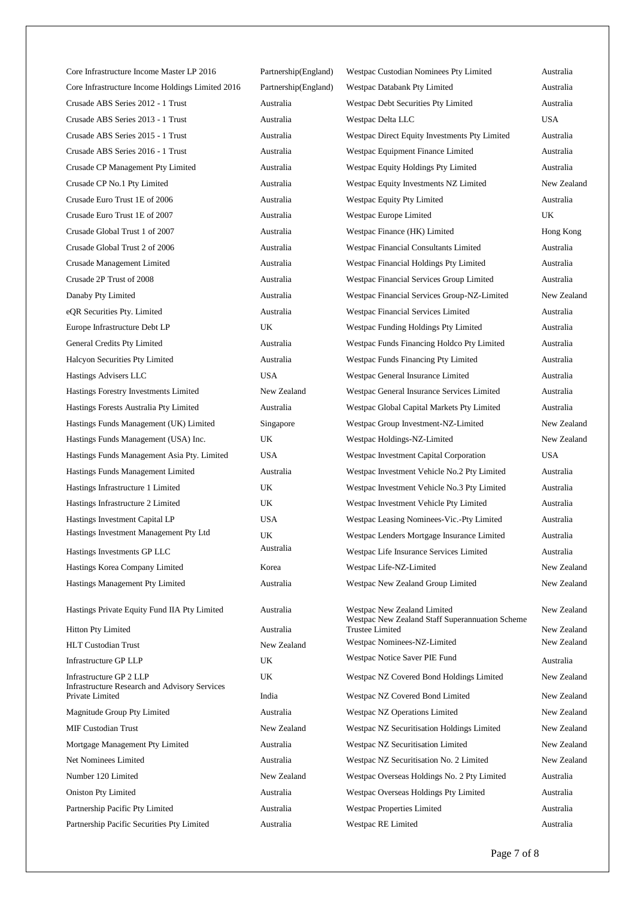| Core Infrastructure Income Master LP 2016                                       | Partnership(England) | Westpac Custodian Nominees Pty Limited                                         | Australia   |
|---------------------------------------------------------------------------------|----------------------|--------------------------------------------------------------------------------|-------------|
| Core Infrastructure Income Holdings Limited 2016                                | Partnership(England) | Westpac Databank Pty Limited                                                   | Australia   |
| Crusade ABS Series 2012 - 1 Trust                                               | Australia            | Westpac Debt Securities Pty Limited                                            | Australia   |
| Crusade ABS Series 2013 - 1 Trust                                               | Australia            | Westpac Delta LLC                                                              | <b>USA</b>  |
| Crusade ABS Series 2015 - 1 Trust                                               | Australia            | Westpac Direct Equity Investments Pty Limited                                  | Australia   |
| Crusade ABS Series 2016 - 1 Trust                                               | Australia            | Westpac Equipment Finance Limited                                              | Australia   |
| Crusade CP Management Pty Limited                                               | Australia            | Westpac Equity Holdings Pty Limited                                            | Australia   |
| Crusade CP No.1 Pty Limited                                                     | Australia            | Westpac Equity Investments NZ Limited                                          | New Zealand |
| Crusade Euro Trust 1E of 2006                                                   | Australia            | Westpac Equity Pty Limited                                                     | Australia   |
| Crusade Euro Trust 1E of 2007                                                   | Australia            | Westpac Europe Limited                                                         | UK          |
| Crusade Global Trust 1 of 2007                                                  | Australia            | Westpac Finance (HK) Limited                                                   | Hong Kong   |
| Crusade Global Trust 2 of 2006                                                  | Australia            | Westpac Financial Consultants Limited                                          | Australia   |
| Crusade Management Limited                                                      | Australia            | Westpac Financial Holdings Pty Limited                                         | Australia   |
| Crusade 2P Trust of 2008                                                        | Australia            | Westpac Financial Services Group Limited                                       | Australia   |
| Danaby Pty Limited                                                              | Australia            | Westpac Financial Services Group-NZ-Limited                                    | New Zealand |
| eQR Securities Pty. Limited                                                     | Australia            | Westpac Financial Services Limited                                             | Australia   |
| Europe Infrastructure Debt LP                                                   | UK                   | Westpac Funding Holdings Pty Limited                                           | Australia   |
| General Credits Pty Limited                                                     | Australia            | Westpac Funds Financing Holdco Pty Limited                                     | Australia   |
| Halcyon Securities Pty Limited                                                  | Australia            | Westpac Funds Financing Pty Limited                                            | Australia   |
| Hastings Advisers LLC                                                           | <b>USA</b>           | Westpac General Insurance Limited                                              | Australia   |
| Hastings Forestry Investments Limited                                           | New Zealand          | Westpac General Insurance Services Limited                                     | Australia   |
| Hastings Forests Australia Pty Limited                                          | Australia            | Westpac Global Capital Markets Pty Limited                                     | Australia   |
| Hastings Funds Management (UK) Limited                                          | Singapore            | Westpac Group Investment-NZ-Limited                                            | New Zealand |
| Hastings Funds Management (USA) Inc.                                            | UK                   | Westpac Holdings-NZ-Limited                                                    | New Zealand |
| Hastings Funds Management Asia Pty. Limited                                     | USA                  | Westpac Investment Capital Corporation                                         | <b>USA</b>  |
| Hastings Funds Management Limited                                               | Australia            | Westpac Investment Vehicle No.2 Pty Limited                                    | Australia   |
| Hastings Infrastructure 1 Limited                                               | UK                   | Westpac Investment Vehicle No.3 Pty Limited                                    | Australia   |
| Hastings Infrastructure 2 Limited                                               | UK.                  | Westpac Investment Vehicle Pty Limited                                         | Australia   |
| Hastings Investment Capital LP                                                  | USA                  | Westpac Leasing Nominees-Vic.-Pty Limited                                      | Australia   |
| Hastings Investment Management Pty Ltd                                          | UK                   | Westpac Lenders Mortgage Insurance Limited                                     | Australia   |
| Hastings Investments GP LLC                                                     | Australia            | Westpac Life Insurance Services Limited                                        | Australia   |
| Hastings Korea Company Limited                                                  | Korea                | Westpac Life-NZ-Limited                                                        | New Zealand |
| Hastings Management Pty Limited                                                 | Australia            | Westpac New Zealand Group Limited                                              | New Zealand |
|                                                                                 |                      |                                                                                |             |
| Hastings Private Equity Fund IIA Pty Limited                                    | Australia            | Westpac New Zealand Limited<br>Westpac New Zealand Staff Superannuation Scheme | New Zealand |
| <b>Hitton Pty Limited</b>                                                       | Australia            | <b>Trustee Limited</b>                                                         | New Zealand |
| <b>HLT Custodian Trust</b>                                                      | New Zealand          | Westpac Nominees-NZ-Limited                                                    | New Zealand |
| Infrastructure GP LLP                                                           | UK                   | Westpac Notice Saver PIE Fund                                                  | Australia   |
| Infrastructure GP 2 LLP<br><b>Infrastructure Research and Advisory Services</b> | UK                   | Westpac NZ Covered Bond Holdings Limited                                       | New Zealand |
| Private Limited                                                                 | India                | Westpac NZ Covered Bond Limited                                                | New Zealand |
| Magnitude Group Pty Limited                                                     | Australia            | Westpac NZ Operations Limited                                                  | New Zealand |
| <b>MIF Custodian Trust</b>                                                      | New Zealand          | Westpac NZ Securitisation Holdings Limited                                     | New Zealand |
| Mortgage Management Pty Limited                                                 | Australia            | Westpac NZ Securitisation Limited                                              | New Zealand |
| Net Nominees Limited                                                            | Australia            | Westpac NZ Securitisation No. 2 Limited                                        | New Zealand |
| Number 120 Limited                                                              | New Zealand          | Westpac Overseas Holdings No. 2 Pty Limited                                    | Australia   |
| <b>Oniston Pty Limited</b>                                                      | Australia            | Westpac Overseas Holdings Pty Limited                                          | Australia   |
| Partnership Pacific Pty Limited                                                 | Australia            | Westpac Properties Limited                                                     | Australia   |
| Partnership Pacific Securities Pty Limited                                      | Australia            | Westpac RE Limited                                                             | Australia   |